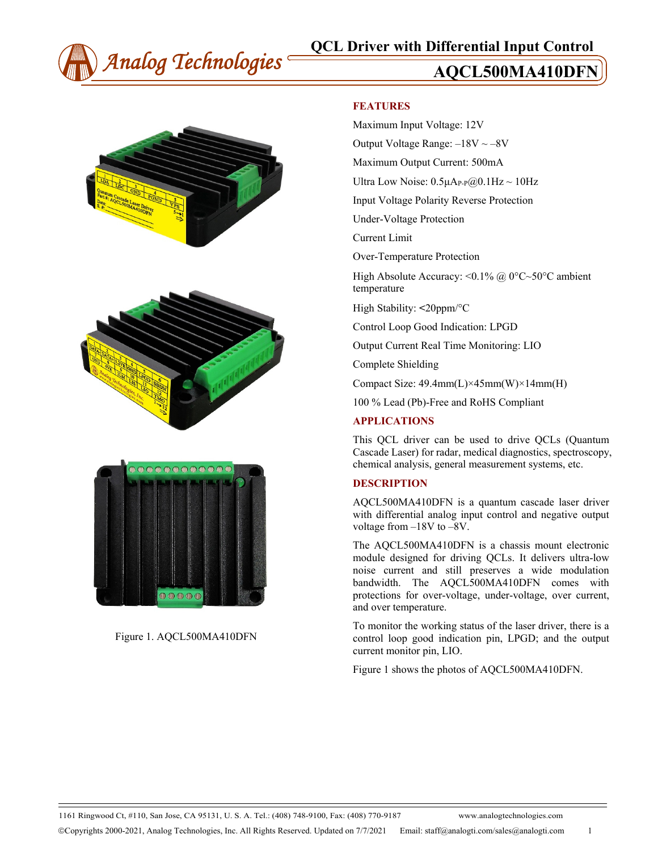







Figure 1. AQCL500MA410DFN

### **FEATURES**

Maximum Input Voltage: 12V

Output Voltage Range:  $-18V \sim -8V$ 

Maximum Output Current: 500mA

Ultra Low Noise:  $0.5\mu A_{P-P}(Q)0.1Hz \sim 10Hz$ 

Input Voltage Polarity Reverse Protection

Under-Voltage Protection

Current Limit

Over-Temperature Protection

High Absolute Accuracy: < $0.1\%$  @ 0°C~50°C ambient temperature

High Stability: **<**20ppm/°C

Control Loop Good Indication: LPGD

Output Current Real Time Monitoring: LIO

Complete Shielding

Compact Size: 49.4mm(L)×45mm(W)×14mm(H)

100 % Lead (Pb)-Free and RoHS Compliant

### **APPLICATIONS**

This QCL driver can be used to drive QCLs (Quantum Cascade Laser) for radar, medical diagnostics, spectroscopy, chemical analysis, general measurement systems, etc.

#### **DESCRIPTION**

AQCL500MA410DFN is a quantum cascade laser driver with differential analog input control and negative output voltage from –18V to –8V.

The AQCL500MA410DFN is a chassis mount electronic module designed for driving QCLs. It delivers ultra-low noise current and still preserves a wide modulation bandwidth. The AQCL500MA410DFN comes with protections for over-voltage, under-voltage, over current, and over temperature.

To monitor the working status of the laser driver, there is a control loop good indication pin, LPGD; and the output current monitor pin, LIO.

Figure 1 shows the photos of AQCL500MA410DFN.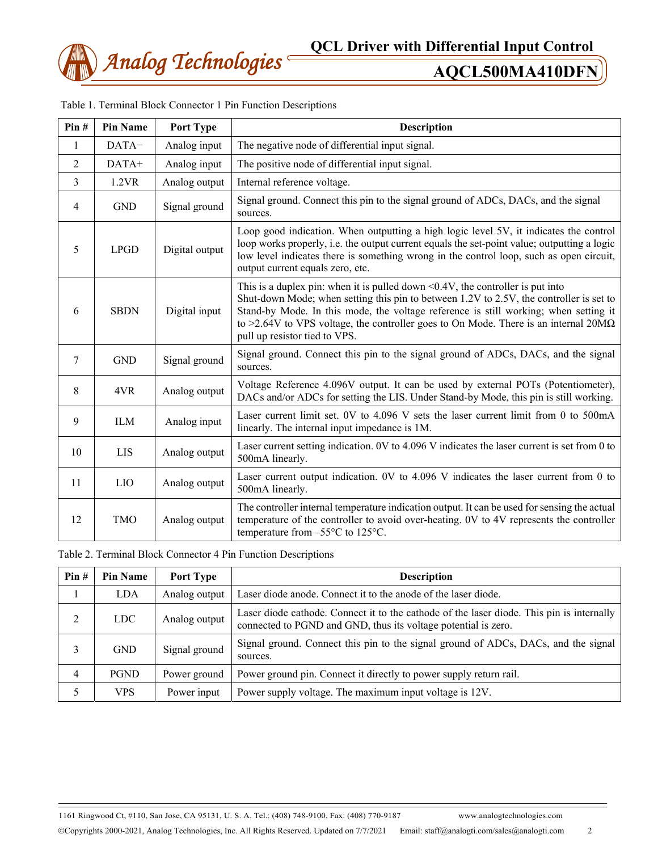

| Pin#           | <b>Pin Name</b> | Port Type      | <b>Description</b>                                                                                                                                                                                                                                                                                                                                                                                      |  |  |
|----------------|-----------------|----------------|---------------------------------------------------------------------------------------------------------------------------------------------------------------------------------------------------------------------------------------------------------------------------------------------------------------------------------------------------------------------------------------------------------|--|--|
| 1              | DATA-           | Analog input   | The negative node of differential input signal.                                                                                                                                                                                                                                                                                                                                                         |  |  |
| 2              | DATA+           | Analog input   | The positive node of differential input signal.                                                                                                                                                                                                                                                                                                                                                         |  |  |
| $\overline{3}$ | 1.2VR           | Analog output  | Internal reference voltage.                                                                                                                                                                                                                                                                                                                                                                             |  |  |
| 4              | <b>GND</b>      | Signal ground  | Signal ground. Connect this pin to the signal ground of ADCs, DACs, and the signal<br>sources.                                                                                                                                                                                                                                                                                                          |  |  |
| 5              | <b>LPGD</b>     | Digital output | Loop good indication. When outputting a high logic level 5V, it indicates the control<br>loop works properly, i.e. the output current equals the set-point value; outputting a logic<br>low level indicates there is something wrong in the control loop, such as open circuit,<br>output current equals zero, etc.                                                                                     |  |  |
| 6              | <b>SBDN</b>     | Digital input  | This is a duplex pin: when it is pulled down $\leq 0.4V$ , the controller is put into<br>Shut-down Mode; when setting this pin to between 1.2V to 2.5V, the controller is set to<br>Stand-by Mode. In this mode, the voltage reference is still working; when setting it<br>to >2.64V to VPS voltage, the controller goes to On Mode. There is an internal $20M\Omega$<br>pull up resistor tied to VPS. |  |  |
| 7              | <b>GND</b>      | Signal ground  | Signal ground. Connect this pin to the signal ground of ADCs, DACs, and the signal<br>sources.                                                                                                                                                                                                                                                                                                          |  |  |
| 8              | 4VR             | Analog output  | Voltage Reference 4.096V output. It can be used by external POTs (Potentiometer),<br>DACs and/or ADCs for setting the LIS. Under Stand-by Mode, this pin is still working.                                                                                                                                                                                                                              |  |  |
| 9              | <b>ILM</b>      | Analog input   | Laser current limit set. 0V to 4.096 V sets the laser current limit from 0 to 500mA<br>linearly. The internal input impedance is 1M.                                                                                                                                                                                                                                                                    |  |  |
| 10             | <b>LIS</b>      | Analog output  | Laser current setting indication. 0V to 4.096 V indicates the laser current is set from 0 to<br>500mA linearly.                                                                                                                                                                                                                                                                                         |  |  |
| 11             | LIO             | Analog output  | Laser current output indication. 0V to 4.096 V indicates the laser current from 0 to<br>500mA linearly.                                                                                                                                                                                                                                                                                                 |  |  |
| 12             | <b>TMO</b>      | Analog output  | The controller internal temperature indication output. It can be used for sensing the actual<br>temperature of the controller to avoid over-heating. 0V to 4V represents the controller<br>temperature from $-55^{\circ}$ C to 125 $^{\circ}$ C.                                                                                                                                                        |  |  |

|  | Table 1. Terminal Block Connector 1 Pin Function Descriptions |  |  |  |  |  |
|--|---------------------------------------------------------------|--|--|--|--|--|
|--|---------------------------------------------------------------|--|--|--|--|--|

Table 2. Terminal Block Connector 4 Pin Function Descriptions

| Pin# | <b>Pin Name</b> | Port Type     | <b>Description</b>                                                                                                                                          |  |  |
|------|-----------------|---------------|-------------------------------------------------------------------------------------------------------------------------------------------------------------|--|--|
|      | <b>LDA</b>      | Analog output | Laser diode anode. Connect it to the anode of the laser diode.                                                                                              |  |  |
| 2    | <b>LDC</b>      | Analog output | Laser diode cathode. Connect it to the cathode of the laser diode. This pin is internally<br>connected to PGND and GND, thus its voltage potential is zero. |  |  |
| 3    | <b>GND</b>      | Signal ground | Signal ground. Connect this pin to the signal ground of ADCs, DACs, and the signal<br>sources.                                                              |  |  |
| 4    | <b>PGND</b>     | Power ground  | Power ground pin. Connect it directly to power supply return rail.                                                                                          |  |  |
|      | <b>VPS</b>      | Power input   | Power supply voltage. The maximum input voltage is 12V.                                                                                                     |  |  |

1161 Ringwood Ct, #110, San Jose, CA 95131, U. S. A. Tel.: (408) 748-9100, Fax: (408) 770-9187 www.analogtechnologies.com Copyrights 2000-2021, Analog Technologies, Inc. All Rights Reserved. Updated on 7/7/2021 Email: staff@analogti.com/sales@analogti.com 2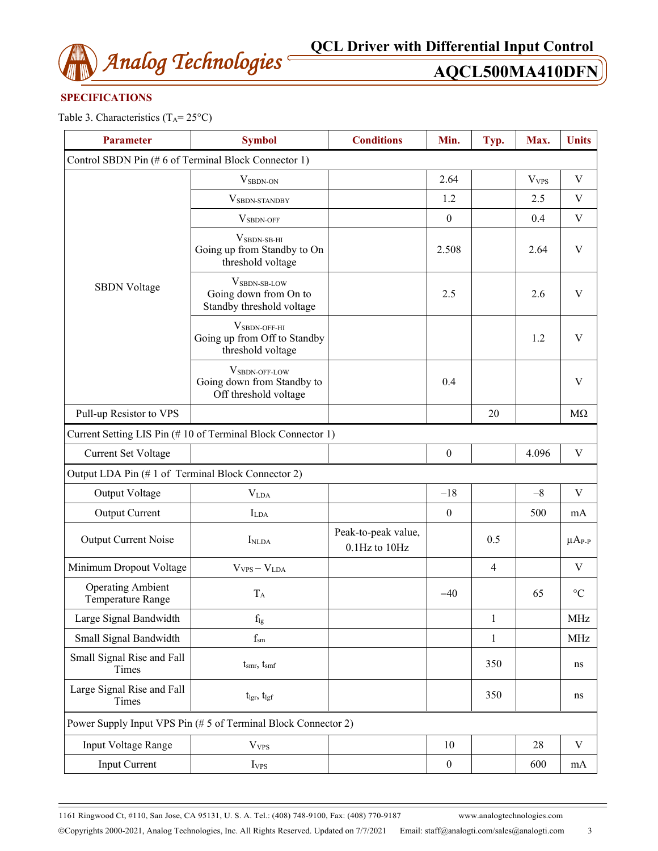

### **SPECIFICATIONS**

Table 3. Characteristics  $(T_A = 25^{\circ}C)$ 

| <b>Parameter</b>                                               | <b>Symbol</b>                                                                  | <b>Conditions</b>                    | Min.             | Typ.         | Max.                    | <b>Units</b>    |  |
|----------------------------------------------------------------|--------------------------------------------------------------------------------|--------------------------------------|------------------|--------------|-------------------------|-----------------|--|
| Control SBDN Pin (#6 of Terminal Block Connector 1)            |                                                                                |                                      |                  |              |                         |                 |  |
|                                                                | V <sub>SBDN-ON</sub>                                                           |                                      | 2.64             |              | <b>V</b> <sub>VPS</sub> | V               |  |
|                                                                | VSBDN-STANDBY                                                                  |                                      | 1.2              |              | 2.5                     | V               |  |
|                                                                | $V_{SBDN\text{-}OFF}$                                                          |                                      | $\boldsymbol{0}$ |              | 0.4                     | $\mathbf V$     |  |
|                                                                | $VSBDN-SB-HI$<br>Going up from Standby to On<br>threshold voltage              |                                      | 2.508            |              | 2.64                    | $\mathbf V$     |  |
| <b>SBDN</b> Voltage                                            | V <sub>SBDN-SB-LOW</sub><br>Going down from On to<br>Standby threshold voltage |                                      | 2.5              |              | 2.6                     | V               |  |
|                                                                | $V_{SBDN-OFF-HI}$<br>Going up from Off to Standby<br>threshold voltage         |                                      |                  |              | 1.2                     | V               |  |
|                                                                | VSBDN-OFF-LOW<br>Going down from Standby to<br>Off threshold voltage           |                                      | 0.4              |              |                         | V               |  |
| Pull-up Resistor to VPS                                        |                                                                                |                                      |                  | 20           |                         | $M\Omega$       |  |
| Current Setting LIS Pin (#10 of Terminal Block Connector 1)    |                                                                                |                                      |                  |              |                         |                 |  |
| <b>Current Set Voltage</b>                                     |                                                                                |                                      | $\boldsymbol{0}$ |              | 4.096                   | $\mathbf V$     |  |
|                                                                | Output LDA Pin (#1 of Terminal Block Connector 2)                              |                                      |                  |              |                         |                 |  |
| Output Voltage                                                 | V <sub>LDA</sub>                                                               |                                      | $-18$            |              | $-8$                    | V               |  |
| <b>Output Current</b>                                          | $I_{LDA}$                                                                      |                                      | $\boldsymbol{0}$ |              | 500                     | mA              |  |
| Output Current Noise                                           | I <sub>NLDA</sub>                                                              | Peak-to-peak value,<br>0.1Hz to 10Hz |                  | 0.5          |                         | $\mu A_{P-P}$   |  |
| Minimum Dropout Voltage                                        | $V_{VPS} - V_{LDA}$                                                            |                                      |                  | 4            |                         | V               |  |
| <b>Operating Ambient</b><br>Temperature Range                  | $T_A$                                                                          |                                      | $-40$            |              | 65                      | $\rm ^{\circ}C$ |  |
| Large Signal Bandwidth                                         | $f_{lg}$                                                                       |                                      |                  | $\,1\,$      |                         | <b>MHz</b>      |  |
| Small Signal Bandwidth                                         | $\rm f_{sm}$                                                                   |                                      |                  | $\mathbf{1}$ |                         | <b>MHz</b>      |  |
| Small Signal Rise and Fall<br>Times                            | $t_{smr}$ , $t_{smf}$                                                          |                                      |                  | 350          |                         | ns              |  |
| Large Signal Rise and Fall<br>Times                            | tlgr, tlgf                                                                     |                                      |                  | 350          |                         | ns              |  |
| Power Supply Input VPS Pin (# 5 of Terminal Block Connector 2) |                                                                                |                                      |                  |              |                         |                 |  |
| Input Voltage Range                                            | <b>V</b> <sub>VPS</sub>                                                        |                                      | 10               |              | 28                      | V               |  |
| <b>Input Current</b>                                           | I <sub>VPS</sub>                                                               |                                      | $\boldsymbol{0}$ |              | 600                     | mA              |  |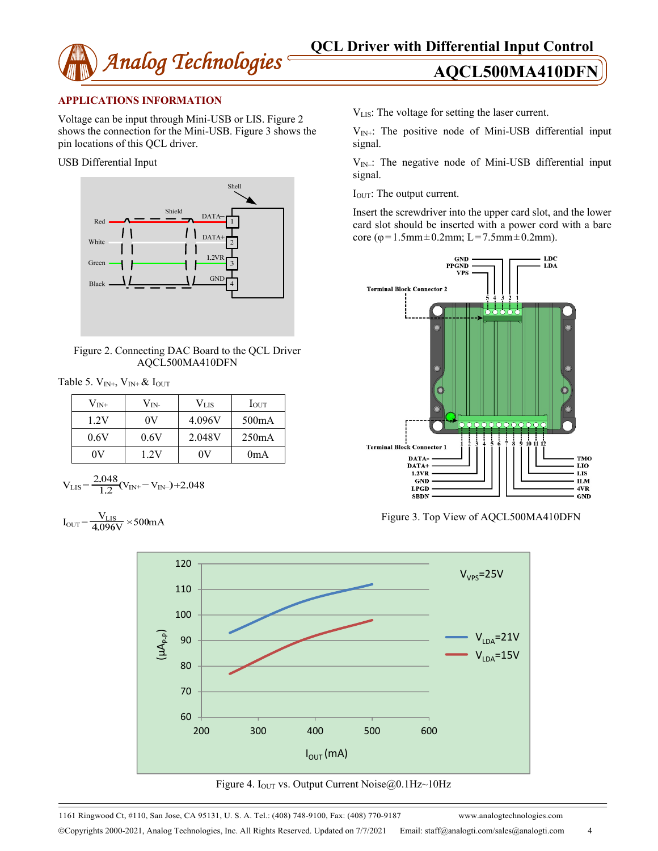

### **APPLICATIONS INFORMATION**

Voltage can be input through Mini-USB or LIS. Figure 2 shows the connection for the Mini-USB. Figure 3 shows the pin locations of this QCL driver.

USB Differential Input



Figure 2. Connecting DAC Board to the QCL Driver AQCL500MA410DFN

| Table 5. $V_{IN^+}$ , $V_{IN^+}$ & $I_{OUT}$ |  |
|----------------------------------------------|--|
|----------------------------------------------|--|

| $\rm V_{\rm IN^+}$ | $V_{IN}$ | Vlis   | IOUT               |
|--------------------|----------|--------|--------------------|
| 1.2V               | 0V       | 4.096V | 500 <sub>m</sub> A |
| 0.6V               | 0.6V     | 2.048V | 250mA              |
| OV                 | 1.2V     | ΛV     | 0 <sub>m</sub> A   |

$$
V_{LIS} = \frac{2.048}{1.2} (V_{IN+} - V_{IN-}) + 2.048
$$

 $I_{\text{OUT}} = \frac{V_{\text{LIS}}}{4.096 \text{V}} \times 500 \text{mA}$ 

VLIS: The voltage for setting the laser current.

 $V_{IN+}$ : The positive node of Mini-USB differential input signal.

 $V_{IN}$ .: The negative node of Mini-USB differential input signal.

IOUT: The output current.

Insert the screwdriver into the upper card slot, and the lower card slot should be inserted with a power cord with a bare core ( $\varphi$ =1.5mm  $\pm$ 0.2mm; L=7.5mm  $\pm$ 0.2mm).



Figure 3. Top View of AQCL500MA410DFN



Figure 4. I<sub>OUT</sub> vs. Output Current Noise $@0.1\text{Hz}$ ~10Hz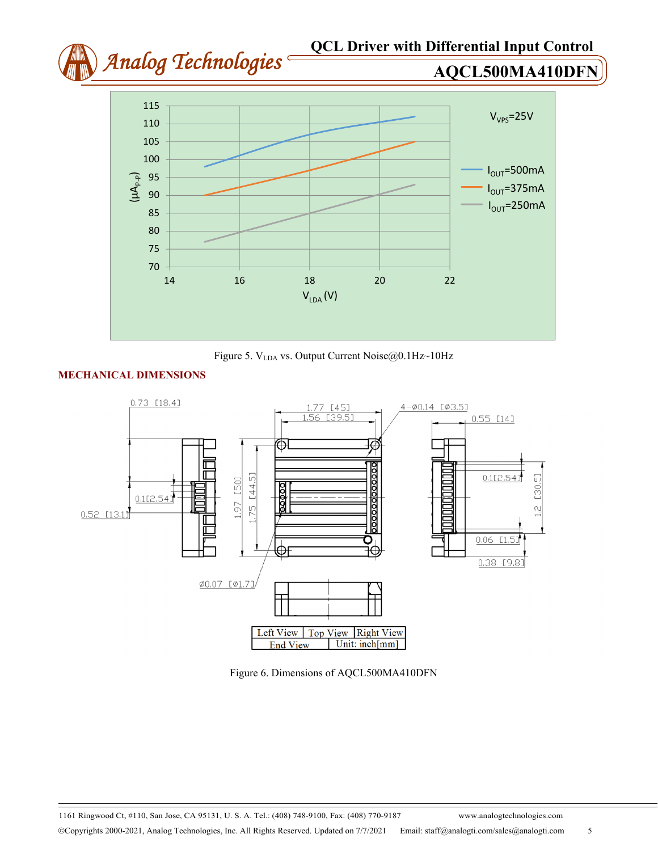



## **MECHANICAL DIMENSIONS**



Figure 6. Dimensions of AQCL500MA410DFN